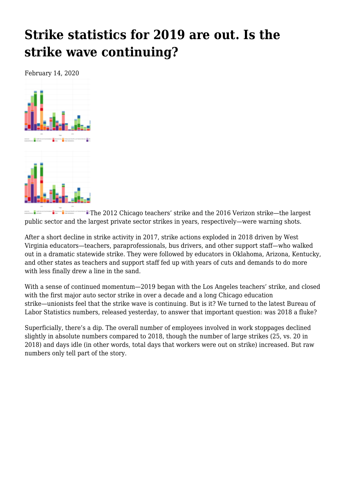## **[Strike statistics for 2019 are out. Is the](https://newpol.org/strike-statistics-for-2019-are-out-is-the-strike-wave-continuing/) [strike wave continuing?](https://newpol.org/strike-statistics-for-2019-are-out-is-the-strike-wave-continuing/)**

February 14, 2020



The 2012 Chicago teachers' strike and the 2016 Verizon strike—the largest an <mark>a</mark> basan <mark>a</mark> ba public sector and the largest private sector strikes in years, respectively—were warning shots.

After a short decline in strike activity in 2017, strike actions exploded in 2018 driven by West Virginia educators—teachers, paraprofessionals, bus drivers, and other support staff—who walked out in a dramatic statewide strike. They were followed by educators in Oklahoma, Arizona, Kentucky, and other states as teachers and support staff fed up with years of cuts and demands to do more with less finally drew a line in the sand.

With a sense of continued momentum—2019 began with the Los Angeles teachers' strike, and closed with the first major auto sector strike in over a decade and a long Chicago education strike—unionists feel that the strike wave is continuing. But is it? We turned to the latest Bureau of Labor Statistics numbers, released yesterday, to answer that important question: was 2018 a fluke?

Superficially, there's a dip. The overall number of employees involved in work stoppages declined slightly in absolute numbers compared to 2018, though the number of large strikes (25, vs. 20 in 2018) and days idle (in other words, total days that workers were out on strike) increased. But raw numbers only tell part of the story.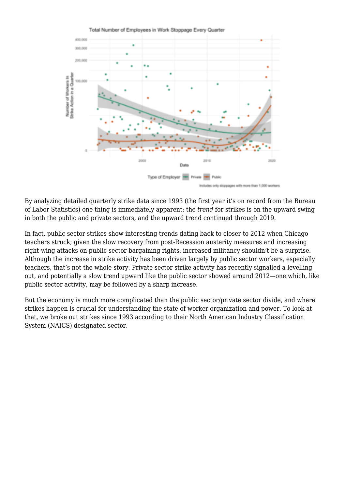

By analyzing detailed quarterly strike data since 1993 (the first year it's on record from the Bureau of Labor Statistics) one thing is immediately apparent: the *trend* for strikes is on the upward swing in both the public and private sectors, and the upward trend continued through 2019.

In fact, public sector strikes show interesting trends dating back to closer to 2012 when Chicago teachers struck; given the slow recovery from post-Recession austerity measures and increasing right-wing attacks on public sector bargaining rights, increased militancy shouldn't be a surprise. Although the increase in strike activity has been driven largely by public sector workers, especially teachers, that's not the whole story. Private sector strike activity has recently signalled a levelling out, and potentially a slow trend upward like the public sector showed around 2012—one which, like public sector activity, may be followed by a sharp increase.

But the economy is much more complicated than the public sector/private sector divide, and where strikes happen is crucial for understanding the state of worker organization and power. To look at that, we broke out strikes since 1993 according to their North American Industry Classification System (NAICS) designated sector.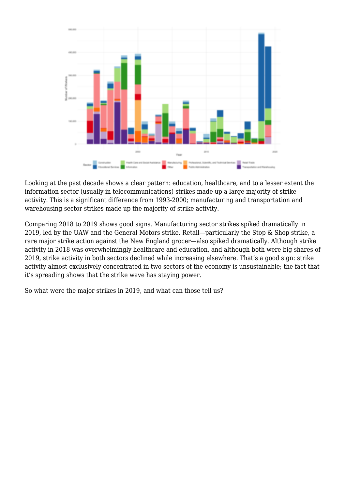

Looking at the past decade shows a clear pattern: education, healthcare, and to a lesser extent the information sector (usually in telecommunications) strikes made up a large majority of strike activity. This is a significant difference from 1993-2000; manufacturing and transportation and warehousing sector strikes made up the majority of strike activity.

Comparing 2018 to 2019 shows good signs. Manufacturing sector strikes spiked dramatically in 2019, led by the UAW and the General Motors strike. Retail—particularly the Stop & Shop strike, a rare major strike action against the New England grocer—also spiked dramatically. Although strike activity in 2018 was overwhelmingly healthcare and education, and although both were big shares of 2019, strike activity in both sectors declined while increasing elsewhere. That's a good sign: strike activity almost exclusively concentrated in two sectors of the economy is unsustainable; the fact that it's spreading shows that the strike wave has staying power.

So what were the major strikes in 2019, and what can those tell us?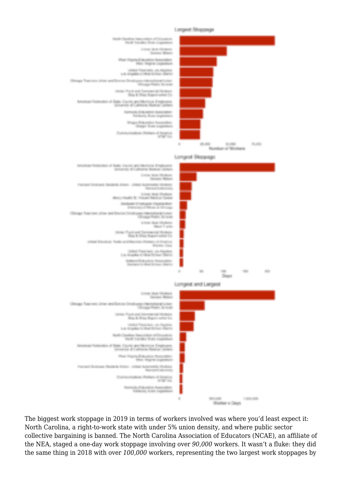





**Hart Brade Law** 

Don't Fine De an ta

to at the Contract

a B

**KENDING RUSS EXCELLED** 

**Street, State** Denver Water Engineering

and the **COLLE** 



The biggest work stoppage in 2019 in terms of workers involved was where you'd least expect it: North Carolina, a right-to-work state with under 5% union density, and where public sector collective bargaining is banned. The North Carolina Association of Educators (NCAE), an affiliate of the NEA, staged a one-day work stoppage involving over 90,000 workers. It wasn't a fluke: they did the same thing in 2018 with over 100,000 workers, representing the two largest work stoppages by